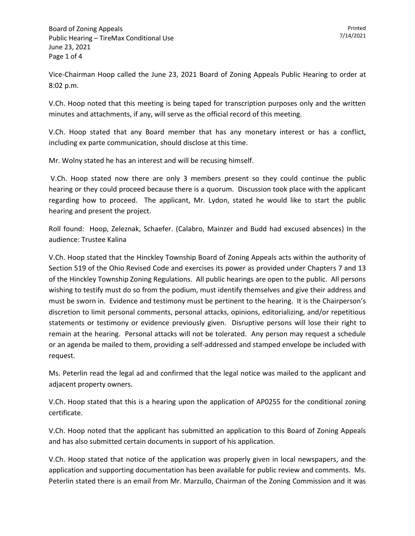Vice-Chairman Hoop called the June 23, 2021 Board of Zoning Appeals Public Hearing to order at 8:02 p.m.

V.Ch. Hoop noted that this meeting is being taped for transcription purposes only and the written minutes and attachments, if any, will serve as the official record of this meeting.

V.Ch. Hoop stated that any Board member that has any monetary interest or has a conflict, including ex parte communication, should disclose at this time.

Mr. Wolny stated he has an interest and will be recusing himself.

V.Ch. Hoop stated now there are only 3 members present so they could continue the public hearing or they could proceed because there is a quorum. Discussion took place with the applicant regarding how to proceed. The applicant, Mr. Lydon, stated he would like to start the public hearing and present the project.

Roll found: Hoop, Zeleznak, Schaefer. (Calabro, Mainzer and Budd had excused absences) In the audience: Trustee Kalina

V.Ch. Hoop stated that the Hinckley Township Board of Zoning Appeals acts within the authority of Section 519 of the Ohio Revised Code and exercises its power as provided under Chapters 7 and 13 of the Hinckley Township Zoning Regulations. All public hearings are open to the public. All persons wishing to testify must do so from the podium, must identify themselves and give their address and must be sworn in. Evidence and testimony must be pertinent to the hearing. It is the Chairperson's discretion to limit personal comments, personal attacks, opinions, editorializing, and/or repetitious statements or testimony or evidence previously given. Disruptive persons will lose their right to remain at the hearing. Personal attacks will not be tolerated. Any person may request a schedule or an agenda be mailed to them, providing a self-addressed and stamped envelope be included with request.

Ms. Peterlin read the legal ad and confirmed that the legal notice was mailed to the applicant and adjacent property owners.

V.Ch. Hoop stated that this is a hearing upon the application of AP0255 for the conditional zoning certificate.

V.Ch. Hoop noted that the applicant has submitted an application to this Board of Zoning Appeals and has also submitted certain documents in support of his application.

V.Ch. Hoop stated that notice of the application was properly given in local newspapers, and the application and supporting documentation has been available for public review and comments. Ms. Peterlin stated there is an email from Mr. Marzullo, Chairman of the Zoning Commission and it was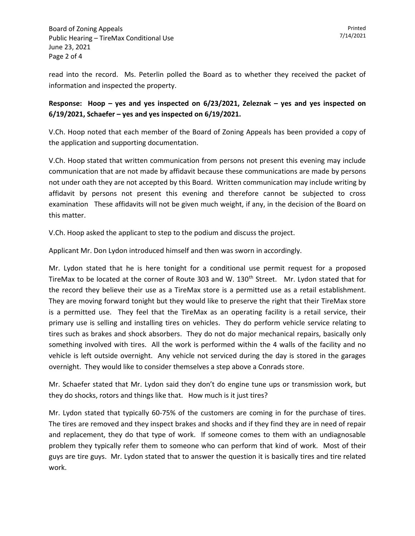read into the record. Ms. Peterlin polled the Board as to whether they received the packet of information and inspected the property.

## **Response: Hoop – yes and yes inspected on 6/23/2021, Zeleznak – yes and yes inspected on 6/19/2021, Schaefer – yes and yes inspected on 6/19/2021.**

V.Ch. Hoop noted that each member of the Board of Zoning Appeals has been provided a copy of the application and supporting documentation.

V.Ch. Hoop stated that written communication from persons not present this evening may include communication that are not made by affidavit because these communications are made by persons not under oath they are not accepted by this Board. Written communication may include writing by affidavit by persons not present this evening and therefore cannot be subjected to cross examination These affidavits will not be given much weight, if any, in the decision of the Board on this matter.

V.Ch. Hoop asked the applicant to step to the podium and discuss the project.

Applicant Mr. Don Lydon introduced himself and then was sworn in accordingly.

Mr. Lydon stated that he is here tonight for a conditional use permit request for a proposed TireMax to be located at the corner of Route 303 and W. 130<sup>th</sup> Street. Mr. Lydon stated that for the record they believe their use as a TireMax store is a permitted use as a retail establishment. They are moving forward tonight but they would like to preserve the right that their TireMax store is a permitted use. They feel that the TireMax as an operating facility is a retail service, their primary use is selling and installing tires on vehicles. They do perform vehicle service relating to tires such as brakes and shock absorbers. They do not do major mechanical repairs, basically only something involved with tires. All the work is performed within the 4 walls of the facility and no vehicle is left outside overnight. Any vehicle not serviced during the day is stored in the garages overnight. They would like to consider themselves a step above a Conrads store.

Mr. Schaefer stated that Mr. Lydon said they don't do engine tune ups or transmission work, but they do shocks, rotors and things like that. How much is it just tires?

Mr. Lydon stated that typically 60-75% of the customers are coming in for the purchase of tires. The tires are removed and they inspect brakes and shocks and if they find they are in need of repair and replacement, they do that type of work. If someone comes to them with an undiagnosable problem they typically refer them to someone who can perform that kind of work. Most of their guys are tire guys. Mr. Lydon stated that to answer the question it is basically tires and tire related work.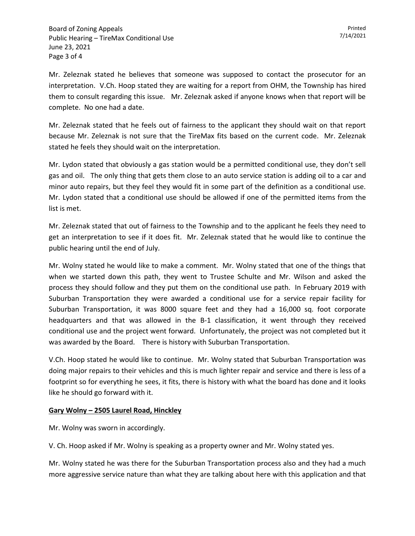Mr. Zeleznak stated he believes that someone was supposed to contact the prosecutor for an interpretation. V.Ch. Hoop stated they are waiting for a report from OHM, the Township has hired them to consult regarding this issue. Mr. Zeleznak asked if anyone knows when that report will be complete. No one had a date.

Mr. Zeleznak stated that he feels out of fairness to the applicant they should wait on that report because Mr. Zeleznak is not sure that the TireMax fits based on the current code. Mr. Zeleznak stated he feels they should wait on the interpretation.

Mr. Lydon stated that obviously a gas station would be a permitted conditional use, they don't sell gas and oil. The only thing that gets them close to an auto service station is adding oil to a car and minor auto repairs, but they feel they would fit in some part of the definition as a conditional use. Mr. Lydon stated that a conditional use should be allowed if one of the permitted items from the list is met.

Mr. Zeleznak stated that out of fairness to the Township and to the applicant he feels they need to get an interpretation to see if it does fit. Mr. Zeleznak stated that he would like to continue the public hearing until the end of July.

Mr. Wolny stated he would like to make a comment. Mr. Wolny stated that one of the things that when we started down this path, they went to Trustee Schulte and Mr. Wilson and asked the process they should follow and they put them on the conditional use path. In February 2019 with Suburban Transportation they were awarded a conditional use for a service repair facility for Suburban Transportation, it was 8000 square feet and they had a 16,000 sq. foot corporate headquarters and that was allowed in the B-1 classification, it went through they received conditional use and the project went forward. Unfortunately, the project was not completed but it was awarded by the Board. There is history with Suburban Transportation.

V.Ch. Hoop stated he would like to continue. Mr. Wolny stated that Suburban Transportation was doing major repairs to their vehicles and this is much lighter repair and service and there is less of a footprint so for everything he sees, it fits, there is history with what the board has done and it looks like he should go forward with it.

## **Gary Wolny – 2505 Laurel Road, Hinckley**

Mr. Wolny was sworn in accordingly.

V. Ch. Hoop asked if Mr. Wolny is speaking as a property owner and Mr. Wolny stated yes.

Mr. Wolny stated he was there for the Suburban Transportation process also and they had a much more aggressive service nature than what they are talking about here with this application and that